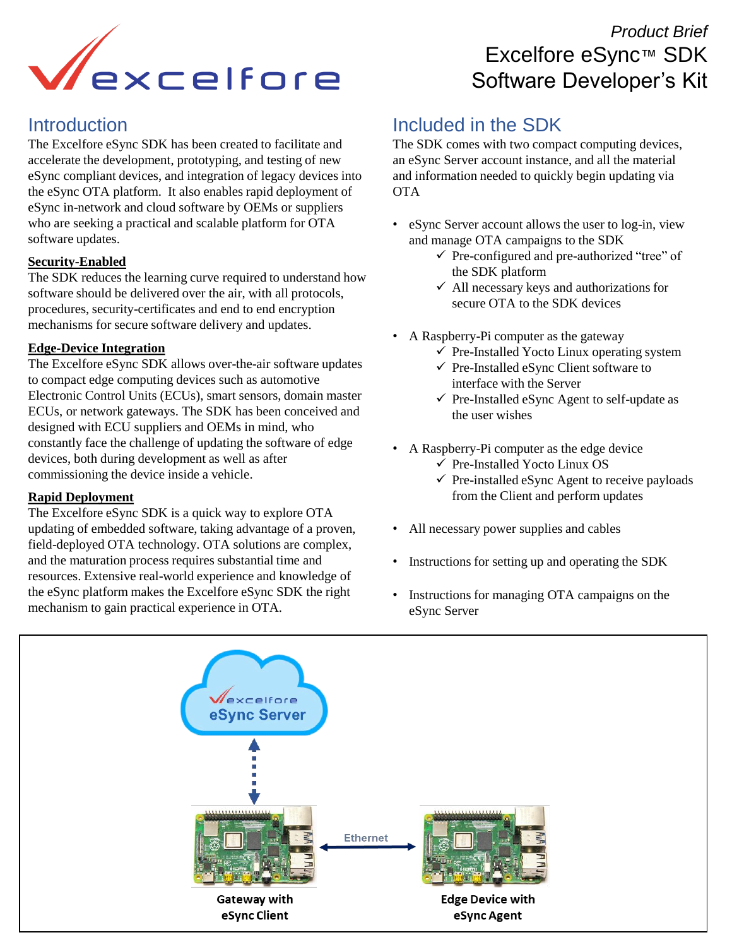

### **Introduction**

The Excelfore eSync SDK has been created to facilitate and accelerate the development, prototyping, and testing of new eSync compliant devices, and integration of legacy devices into the eSync OTA platform. It also enables rapid deployment of eSync in-network and cloud software by OEMs or suppliers who are seeking a practical and scalable platform for OTA software updates.

#### **Security-Enabled**

The SDK reduces the learning curve required to understand how software should be delivered over the air, with all protocols, procedures, security-certificates and end to end encryption mechanisms for secure software delivery and updates.

#### **Edge-Device Integration**

The Excelfore eSync SDK allows over-the-air software updates to compact edge computing devices such as automotive Electronic Control Units (ECUs), smart sensors, domain master ECUs, or network gateways. The SDK has been conceived and designed with ECU suppliers and OEMs in mind, who constantly face the challenge of updating the software of edge devices, both during development as well as after commissioning the device inside a vehicle.

#### **Rapid Deployment**

The Excelfore eSync SDK is a quick way to explore OTA updating of embedded software, taking advantage of a proven, field-deployed OTA technology. OTA solutions are complex, and the maturation process requires substantial time and resources. Extensive real-world experience and knowledge of the eSync platform makes the Excelfore eSync SDK the right mechanism to gain practical experience in OTA.

# *Product Brief*  Excelfore eSync™ SDK Software Developer's Kit

## Included in the SDK

The SDK comes with two compact computing devices, an eSync Server account instance, and all the material and information needed to quickly begin updating via **OTA** 

- eSync Server account allows the user to log-in, view and manage OTA campaigns to the SDK
	- ✓ Pre-configured and pre-authorized "tree" of the SDK platform
	- $\checkmark$  All necessary keys and authorizations for secure OTA to the SDK devices
- A Raspberry-Pi computer as the gateway
	- $\checkmark$  Pre-Installed Yocto Linux operating system
	- ✓ Pre-Installed eSync Client software to interface with the Server
	- ✓ Pre-Installed eSync Agent to self-update as the user wishes
- A Raspberry-Pi computer as the edge device
	- ✓ Pre-Installed Yocto Linux OS
	- $\checkmark$  Pre-installed eSync Agent to receive payloads from the Client and perform updates
- All necessary power supplies and cables
- Instructions for setting up and operating the SDK
- Instructions for managing OTA campaigns on the eSync Server